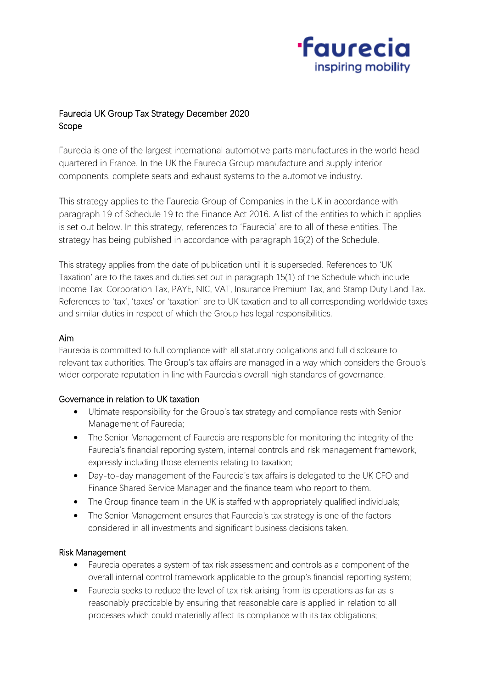

# Faurecia UK Group Tax Strategy December 2020 Scope

Faurecia is one of the largest international automotive parts manufactures in the world head quartered in France. In the UK the Faurecia Group manufacture and supply interior components, complete seats and exhaust systems to the automotive industry.

This strategy applies to the Faurecia Group of Companies in the UK in accordance with paragraph 19 of Schedule 19 to the Finance Act 2016. A list of the entities to which it applies is set out below. In this strategy, references to 'Faurecia' are to all of these entities. The strategy has being published in accordance with paragraph 16(2) of the Schedule.

This strategy applies from the date of publication until it is superseded. References to 'UK Taxation' are to the taxes and duties set out in paragraph 15(1) of the Schedule which include Income Tax, Corporation Tax, PAYE, NIC, VAT, Insurance Premium Tax, and Stamp Duty Land Tax. References to 'tax', 'taxes' or 'taxation' are to UK taxation and to all corresponding worldwide taxes and similar duties in respect of which the Group has legal responsibilities.

### Aim

Faurecia is committed to full compliance with all statutory obligations and full disclosure to relevant tax authorities. The Group's tax affairs are managed in a way which considers the Group's wider corporate reputation in line with Faurecia's overall high standards of governance.

#### Governance in relation to UK taxation

- Ultimate responsibility for the Group's tax strategy and compliance rests with Senior Management of Faurecia;
- The Senior Management of Faurecia are responsible for monitoring the integrity of the Faurecia's financial reporting system, internal controls and risk management framework, expressly including those elements relating to taxation;
- Day-to-day management of the Faurecia's tax affairs is delegated to the UK CFO and Finance Shared Service Manager and the finance team who report to them.
- The Group finance team in the UK is staffed with appropriately qualified individuals;
- The Senior Management ensures that Faurecia's tax strategy is one of the factors considered in all investments and significant business decisions taken.

## Risk Management

- Faurecia operates a system of tax risk assessment and controls as a component of the overall internal control framework applicable to the group's financial reporting system;
- Faurecia seeks to reduce the level of tax risk arising from its operations as far as is reasonably practicable by ensuring that reasonable care is applied in relation to all processes which could materially affect its compliance with its tax obligations;